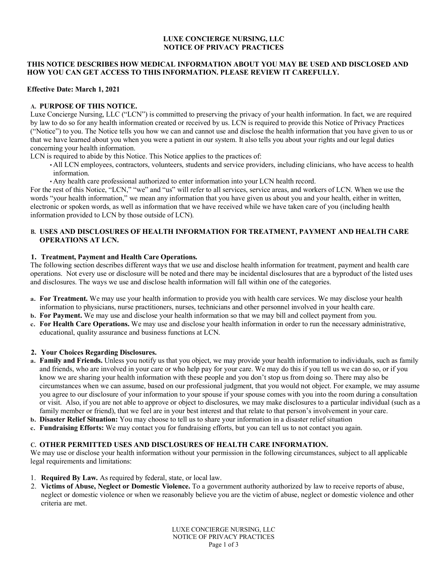## **LUXE CONCIERGE NURSING, LLC NOTICE OF PRIVACY PRACTICES**

### **THIS NOTICE DESCRIBES HOW MEDICAL INFORMATION ABOUT YOU MAY BE USED AND DISCLOSED AND HOW YOU CAN GET ACCESS TO THIS INFORMATION. PLEASE REVIEW IT CAREFULLY.**

### **Effective Date: March 1, 2021**

## **A. PURPOSE OF THIS NOTICE.**

Luxe Concierge Nursing, LLC ("LCN") is committed to preserving the privacy of your health information. In fact, we are required by law to do so for any health information created or received by us. LCN is required to provide this Notice of Privacy Practices ("Notice") to you. The Notice tells you how we can and cannot use and disclose the health information that you have given to us or that we have learned about you when you were a patient in our system. It also tells you about your rights and our legal duties concerning your health information.

LCN is required to abide by this Notice. This Notice applies to the practices of:

- All LCN employees, contractors, volunteers, students and service providers, including clinicians, who have access to health information.
- Any health care professional authorized to enter information into your LCN health record.

For the rest of this Notice, "LCN," "we" and "us" will refer to all services, service areas, and workers of LCN. When we use the words "your health information," we mean any information that you have given us about you and your health, either in written, electronic or spoken words, as well as information that we have received while we have taken care of you (including health information provided to LCN by those outside of LCN).

## **B. USES AND DISCLOSURES OF HEALTH INFORMATION FOR TREATMENT, PAYMENT AND HEALTH CARE OPERATIONS AT LCN.**

#### **1. Treatment, Payment and Health Care Operations.**

The following section describes different ways that we use and disclose health information for treatment, payment and health care operations. Not every use or disclosure will be noted and there may be incidental disclosures that are a byproduct of the listed uses and disclosures. The ways we use and disclose health information will fall within one of the categories.

- **a. For Treatment.** We may use your health information to provide you with health care services. We may disclose your health information to physicians, nurse practitioners, nurses, technicians and other personnel involved in your health care.
- **b. For Payment.** We may use and disclose your health information so that we may bill and collect payment from you.
- **c. For Health Care Operations.** We may use and disclose your health information in order to run the necessary administrative, educational, quality assurance and business functions at LCN.

## **2. Your Choices Regarding Disclosures.**

- **a. Family and Friends.** Unless you notify us that you object, we may provide your health information to individuals, such as family and friends, who are involved in your care or who help pay for your care. We may do this if you tell us we can do so, or if you know we are sharing your health information with these people and you don't stop us from doing so. There may also be circumstances when we can assume, based on our professional judgment, that you would not object. For example, we may assume you agree to our disclosure of your information to your spouse if your spouse comes with you into the room during a consultation or visit. Also, if you are not able to approve or object to disclosures, we may make disclosures to a particular individual (such as a family member or friend), that we feel are in your best interest and that relate to that person's involvement in your care.
- **b. Disaster Relief Situation:** You may choose to tell us to share your information in a disaster relief situation
- **c. Fundraising Efforts:** We may contact you for fundraising efforts, but you can tell us to not contact you again.

# **C. OTHER PERMITTED USES AND DISCLOSURES OF HEALTH CARE INFORMATION.**

We may use or disclose your health information without your permission in the following circumstances, subject to all applicable legal requirements and limitations:

- 1. **Required By Law.** As required by federal, state, or local law.
- 2. **Victims of Abuse, Neglect or Domestic Violence.** To a government authority authorized by law to receive reports of abuse, neglect or domestic violence or when we reasonably believe you are the victim of abuse, neglect or domestic violence and other criteria are met.

LUXE CONCIERGE NURSING, LLC NOTICE OF PRIVACY PRACTICES Page 1 of 3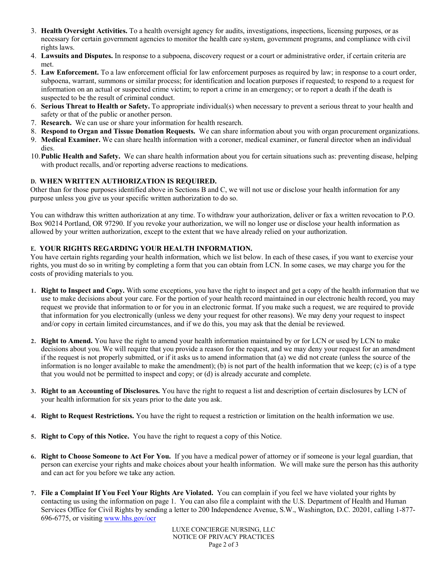- 3. **Health Oversight Activities.** To a health oversight agency for audits, investigations, inspections, licensing purposes, or as necessary for certain government agencies to monitor the health care system, government programs, and compliance with civil rights laws.
- 4. **Lawsuits and Disputes.** In response to a subpoena, discovery request or a court or administrative order, if certain criteria are met.
- 5. **Law Enforcement.** To a law enforcement official for law enforcement purposes as required by law; in response to a court order, subpoena, warrant, summons or similar process; for identification and location purposes if requested; to respond to a request for information on an actual or suspected crime victim; to report a crime in an emergency; or to report a death if the death is suspected to be the result of criminal conduct.
- 6. **Serious Threat to Health or Safety.** To appropriate individual(s) when necessary to prevent a serious threat to your health and safety or that of the public or another person.
- 7. **Research.** We can use or share your information for health research.
- 8. **Respond to Organ and Tissue Donation Requests.** We can share information about you with organ procurement organizations.
- 9. **Medical Examiner.** We can share health information with a coroner, medical examiner, or funeral director when an individual dies.
- 10.**Public Health and Safety.** We can share health information about you for certain situations such as: preventing disease, helping with product recalls, and/or reporting adverse reactions to medications.

## **D. WHEN WRITTEN AUTHORIZATION IS REQUIRED.**

Other than for those purposes identified above in Sections B and C, we will not use or disclose your health information for any purpose unless you give us your specific written authorization to do so.

You can withdraw this written authorization at any time. To withdraw your authorization, deliver or fax a written revocation to P.O. Box 90214 Portland, OR 97290. If you revoke your authorization, we will no longer use or disclose your health information as allowed by your written authorization, except to the extent that we have already relied on your authorization.

## **E. YOUR RIGHTS REGARDING YOUR HEALTH INFORMATION.**

You have certain rights regarding your health information, which we list below. In each of these cases, if you want to exercise your rights, you must do so in writing by completing a form that you can obtain from LCN. In some cases, we may charge you for the costs of providing materials to you.

- **1. Right to Inspect and Copy.** With some exceptions, you have the right to inspect and get a copy of the health information that we use to make decisions about your care. For the portion of your health record maintained in our electronic health record, you may request we provide that information to or for you in an electronic format. If you make such a request, we are required to provide that information for you electronically (unless we deny your request for other reasons). We may deny your request to inspect and/or copy in certain limited circumstances, and if we do this, you may ask that the denial be reviewed.
- **2. Right to Amend.** You have the right to amend your health information maintained by or for LCN or used by LCN to make decisions about you. We will require that you provide a reason for the request, and we may deny your request for an amendment if the request is not properly submitted, or if it asks us to amend information that (a) we did not create (unless the source of the information is no longer available to make the amendment); (b) is not part of the health information that we keep; (c) is of a type that you would not be permitted to inspect and copy; or (d) is already accurate and complete.
- **3. Right to an Accounting of Disclosures.** You have the right to request a list and description of certain disclosures by LCN of your health information for six years prior to the date you ask.
- **4. Right to Request Restrictions.** You have the right to request a restriction or limitation on the health information we use.
- **5. Right to Copy of this Notice.** You have the right to request a copy of this Notice.
- **6. Right to Choose Someone to Act For You.** If you have a medical power of attorney or if someone is your legal guardian, that person can exercise your rights and make choices about your health information. We will make sure the person has this authority and can act for you before we take any action.
- **7. File a Complaint If You Feel Your Rights Are Violated.** You can complain if you feel we have violated your rights by contacting us using the information on page 1. You can also file a complaint with the U.S. Department of Health and Human Services Office for Civil Rights by sending a letter to 200 Independence Avenue, S.W., Washington, D.C. 20201, calling 1-877- 696-6775, or visiting www.hhs.gov/ocr

LUXE CONCIERGE NURSING, LLC NOTICE OF PRIVACY PRACTICES Page 2 of 3